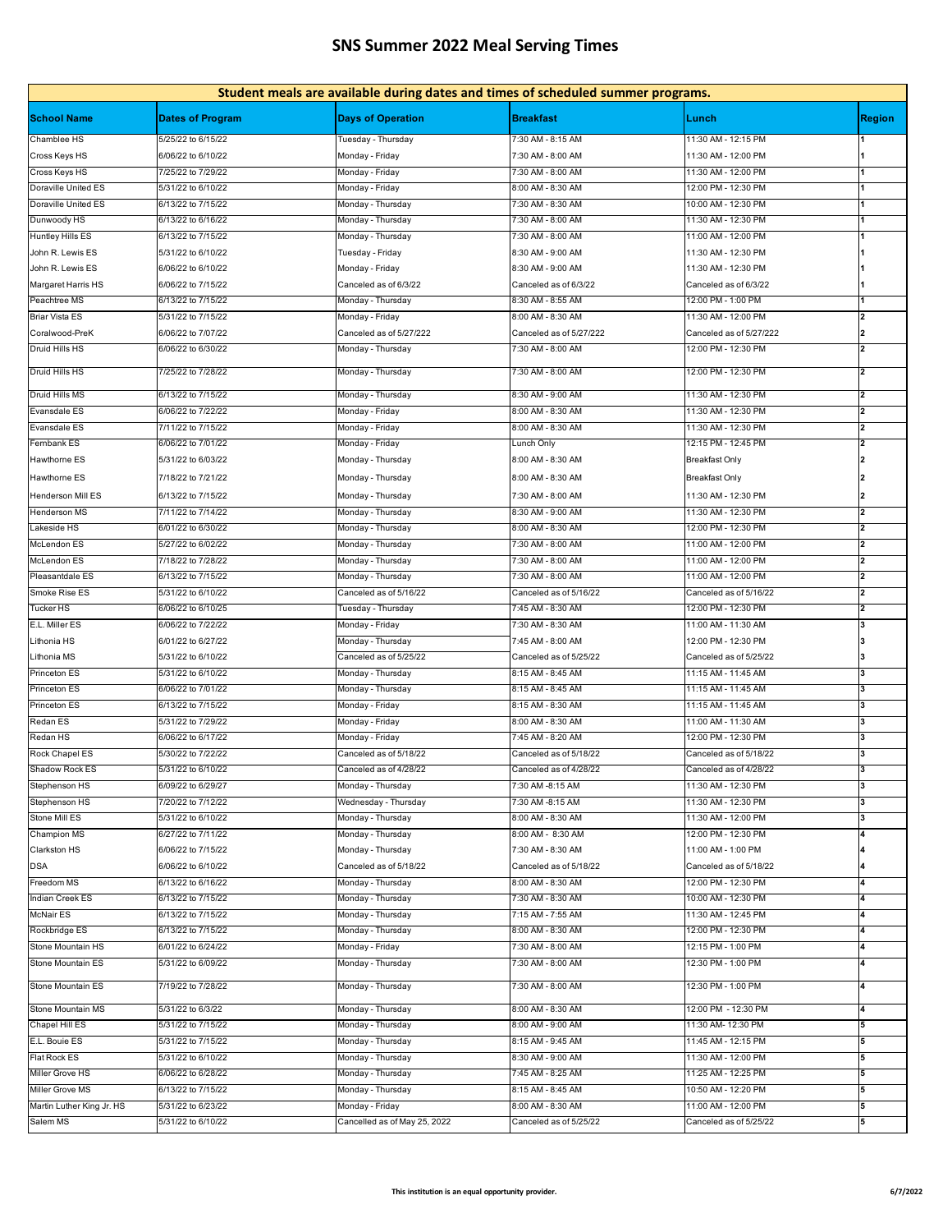## **SNS Summer 2022 Meal Serving Times**

| Student meals are available during dates and times of scheduled summer programs. |                         |                              |                         |                         |                     |  |  |  |  |
|----------------------------------------------------------------------------------|-------------------------|------------------------------|-------------------------|-------------------------|---------------------|--|--|--|--|
| <b>School Name</b>                                                               | <b>Dates of Program</b> | <b>Days of Operation</b>     | <b>Breakfast</b>        | Lunch                   | <b>Region</b>       |  |  |  |  |
| Chamblee HS                                                                      | 5/25/22 to 6/15/22      | Tuesday - Thursday           | 7:30 AM - 8:15 AM       | 11:30 AM - 12:15 PM     |                     |  |  |  |  |
| Cross Keys HS                                                                    | 6/06/22 to 6/10/22      | Monday - Friday              | 7:30 AM - 8:00 AM       | 11:30 AM - 12:00 PM     |                     |  |  |  |  |
| Cross Keys HS                                                                    | 7/25/22 to 7/29/22      | Monday - Friday              | 7:30 AM - 8:00 AM       | 11:30 AM - 12:00 PM     | $\mathbf 1$         |  |  |  |  |
| Doraville United ES                                                              | 5/31/22 to 6/10/22      | Monday - Friday              | 8:00 AM - 8:30 AM       | 12:00 PM - 12:30 PM     |                     |  |  |  |  |
| Doraville United ES                                                              | 6/13/22 to 7/15/22      | Monday - Thursday            | 7:30 AM - 8:30 AM       | 10:00 AM - 12:30 PM     |                     |  |  |  |  |
| Dunwoody HS                                                                      | 6/13/22 to 6/16/22      | Monday - Thursday            | 7:30 AM - 8:00 AM       | 11:30 AM - 12:30 PM     |                     |  |  |  |  |
| <b>Huntley Hills ES</b>                                                          | 6/13/22 to 7/15/22      | Monday - Thursday            | 7:30 AM - 8:00 AM       | 11:00 AM - 12:00 PM     |                     |  |  |  |  |
| John R. Lewis ES                                                                 | 5/31/22 to 6/10/22      | Tuesday - Friday             | 8:30 AM - 9:00 AM       | 11:30 AM - 12:30 PM     |                     |  |  |  |  |
| John R. Lewis ES                                                                 | 6/06/22 to 6/10/22      | Monday - Friday              | 8:30 AM - 9:00 AM       | 11:30 AM - 12:30 PM     |                     |  |  |  |  |
| Margaret Harris HS                                                               | 6/06/22 to 7/15/22      | Canceled as of 6/3/22        | Canceled as of 6/3/22   | Canceled as of 6/3/22   |                     |  |  |  |  |
| Peachtree MS                                                                     | 6/13/22 to 7/15/22      | Monday - Thursday            | 8:30 AM - 8:55 AM       | 12:00 PM - 1:00 PM      |                     |  |  |  |  |
| <b>Briar Vista ES</b>                                                            | 5/31/22 to 7/15/22      | Monday - Friday              | 8:00 AM - 8:30 AM       | 11:30 AM - 12:00 PM     | 12                  |  |  |  |  |
| Coralwood-PreK                                                                   | 6/06/22 to 7/07/22      | Canceled as of 5/27/222      | Canceled as of 5/27/222 | Canceled as of 5/27/222 | 2                   |  |  |  |  |
| Druid Hills HS                                                                   | 6/06/22 to 6/30/22      |                              | 7:30 AM - 8:00 AM       | 12:00 PM - 12:30 PM     | $\mathbf{z}$        |  |  |  |  |
| Druid Hills HS                                                                   | 7/25/22 to 7/28/22      | Monday - Thursday            | 7:30 AM - 8:00 AM       | 12:00 PM - 12:30 PM     | 2                   |  |  |  |  |
|                                                                                  |                         | Monday - Thursday            |                         |                         |                     |  |  |  |  |
| Druid Hills MS                                                                   | 6/13/22 to 7/15/22      | Monday - Thursday            | 8:30 AM - 9:00 AM       | 11:30 AM - 12:30 PM     | $\overline{2}$      |  |  |  |  |
| <b>Evansdale ES</b>                                                              | 6/06/22 to 7/22/22      | Monday - Friday              | 8:00 AM - 8:30 AM       | 11:30 AM - 12:30 PM     |                     |  |  |  |  |
| Evansdale ES                                                                     | 7/11/22 to 7/15/22      | Monday - Friday              | 8:00 AM - 8:30 AM       | 11:30 AM - 12:30 PM     | 2                   |  |  |  |  |
| Fernbank ES                                                                      | 6/06/22 to 7/01/22      | Monday - Friday              | Lunch Only              | 12:15 PM - 12:45 PM     |                     |  |  |  |  |
| Hawthorne ES                                                                     | 5/31/22 to 6/03/22      | Monday - Thursday            | 8:00 AM - 8:30 AM       | <b>Breakfast Only</b>   |                     |  |  |  |  |
| Hawthorne ES                                                                     | 7/18/22 to 7/21/22      | Monday - Thursday            | 8:00 AM - 8:30 AM       | <b>Breakfast Only</b>   |                     |  |  |  |  |
| Henderson Mill ES                                                                | 6/13/22 to 7/15/22      | Monday - Thursday            | 7:30 AM - 8:00 AM       | 11:30 AM - 12:30 PM     |                     |  |  |  |  |
| Henderson MS                                                                     | 7/11/22 to 7/14/22      | Monday - Thursday            | 8:30 AM - 9:00 AM       | 11:30 AM - 12:30 PM     |                     |  |  |  |  |
| Lakeside HS                                                                      | 6/01/22 to 6/30/22      | Monday - Thursday            | 8:00 AM - 8:30 AM       | 12:00 PM - 12:30 PM     |                     |  |  |  |  |
| <b>McLendon ES</b>                                                               | 5/27/22 to 6/02/22      | Monday - Thursday            | 7:30 AM - 8:00 AM       | 11:00 AM - 12:00 PM     |                     |  |  |  |  |
| McLendon ES                                                                      | 7/18/22 to 7/28/22      | Monday - Thursday            | 7:30 AM - 8:00 AM       | 11:00 AM - 12:00 PM     | 2                   |  |  |  |  |
| Pleasantdale ES                                                                  | 6/13/22 to 7/15/22      | Monday - Thursday            | 7:30 AM - 8:00 AM       | 11:00 AM - 12:00 PM     | 2                   |  |  |  |  |
| Smoke Rise ES                                                                    | 5/31/22 to 6/10/22      | Canceled as of 5/16/22       | Canceled as of 5/16/22  | Canceled as of 5/16/22  | 2                   |  |  |  |  |
|                                                                                  |                         |                              |                         |                         | $\overline{2}$      |  |  |  |  |
| Tucker HS                                                                        | 6/06/22 to 6/10/25      | Tuesday - Thursday           | 7:45 AM - 8:30 AM       | 12:00 PM - 12:30 PM     |                     |  |  |  |  |
| E.L. Miller ES                                                                   | 6/06/22 to 7/22/22      | Monday - Friday              | 7:30 AM - 8:30 AM       | 11:00 AM - 11:30 AM     |                     |  |  |  |  |
| Lithonia HS                                                                      | 6/01/22 to 6/27/22      | Monday - Thursday            | 7:45 AM - 8:00 AM       | 12:00 PM - 12:30 PM     |                     |  |  |  |  |
| Lithonia MS                                                                      | 5/31/22 to 6/10/22      | Canceled as of 5/25/22       | Canceled as of 5/25/22  | Canceled as of 5/25/22  |                     |  |  |  |  |
| Princeton ES                                                                     | 5/31/22 to 6/10/22      | Monday - Thursday            | 8:15 AM - 8:45 AM       | 11:15 AM - 11:45 AM     | 3                   |  |  |  |  |
| Princeton ES                                                                     | 6/06/22 to 7/01/22      | Monday - Thursday            | 8:15 AM - 8:45 AM       | 11:15 AM - 11:45 AM     |                     |  |  |  |  |
| Princeton ES                                                                     | 6/13/22 to 7/15/22      | Monday - Friday              | 8:15 AM - 8:30 AM       | 11:15 AM - 11:45 AM     | 3                   |  |  |  |  |
| Redan ES                                                                         | 5/31/22 to 7/29/22      | Monday - Friday              | 8:00 AM - 8:30 AM       | 11:00 AM - 11:30 AM     | 3                   |  |  |  |  |
| Redan HS                                                                         | 6/06/22 to 6/17/22      | Monday - Friday              | 7:45 AM - 8:20 AM       | 12:00 PM - 12:30 PM     | 3                   |  |  |  |  |
| Rock Chapel ES                                                                   | 5/30/22 to 7/22/22      | Canceled as of 5/18/22       | Canceled as of 5/18/22  | Canceled as of 5/18/22  | 3                   |  |  |  |  |
| Shadow Rock ES                                                                   | 5/31/22 to 6/10/22      | Canceled as of 4/28/22       | Canceled as of 4/28/22  | Canceled as of 4/28/22  | 3                   |  |  |  |  |
| Stephenson HS                                                                    | 6/09/22 to 6/29/27      | Monday - Thursday            | 7:30 AM -8:15 AM        | 11:30 AM - 12:30 PM     | 3                   |  |  |  |  |
| Stephenson HS                                                                    | 7/20/22 to 7/12/22      | Wednesday - Thursday         | 7:30 AM -8:15 AM        | 11:30 AM - 12:30 PM     | 3                   |  |  |  |  |
| Stone Mill ES                                                                    | 5/31/22 to 6/10/22      | Monday - Thursday            | 8:00 AM - 8:30 AM       | 11:30 AM - 12:00 PM     | 3                   |  |  |  |  |
| <b>Champion MS</b>                                                               | 6/27/22 to 7/11/22      | Monday - Thursday            | 8:00 AM - 8:30 AM       | 12:00 PM - 12:30 PM     |                     |  |  |  |  |
| Clarkston HS                                                                     | 6/06/22 to 7/15/22      | Monday - Thursday            | 7:30 AM - 8:30 AM       | 11:00 AM - 1:00 PM      |                     |  |  |  |  |
| <b>DSA</b>                                                                       | 6/06/22 to 6/10/22      | Canceled as of 5/18/22       | Canceled as of 5/18/22  | Canceled as of 5/18/22  |                     |  |  |  |  |
| Freedom MS                                                                       | 6/13/22 to 6/16/22      | Monday - Thursday            | 8:00 AM - 8:30 AM       | 12:00 PM - 12:30 PM     | 4                   |  |  |  |  |
| <b>Indian Creek ES</b>                                                           | 6/13/22 to 7/15/22      | Monday - Thursday            | 7:30 AM - 8:30 AM       | 10:00 AM - 12:30 PM     |                     |  |  |  |  |
| McNair ES                                                                        | 6/13/22 to 7/15/22      | Monday - Thursday            | 7:15 AM - 7:55 AM       | 11:30 AM - 12:45 PM     |                     |  |  |  |  |
| Rockbridge ES                                                                    | 6/13/22 to 7/15/22      | Monday - Thursday            | 8:00 AM - 8:30 AM       | 12:00 PM - 12:30 PM     |                     |  |  |  |  |
| Stone Mountain HS                                                                | 6/01/22 to 6/24/22      | Monday - Friday              | 7:30 AM - 8:00 AM       | 12:15 PM - 1:00 PM      |                     |  |  |  |  |
|                                                                                  |                         |                              |                         |                         | $\overline{\bf{4}}$ |  |  |  |  |
| Stone Mountain ES                                                                | 5/31/22 to 6/09/22      | Monday - Thursday            | 7:30 AM - 8:00 AM       | 12:30 PM - 1:00 PM      |                     |  |  |  |  |
| Stone Mountain ES                                                                | 7/19/22 to 7/28/22      | Monday - Thursday            | 7:30 AM - 8:00 AM       | 12:30 PM - 1:00 PM      | 4                   |  |  |  |  |
| Stone Mountain MS                                                                | 5/31/22 to 6/3/22       | Monday - Thursday            | 8:00 AM - 8:30 AM       | 12:00 PM - 12:30 PM     |                     |  |  |  |  |
| Chapel Hill ES                                                                   | 5/31/22 to 7/15/22      | Monday - Thursday            | 8:00 AM - 9:00 AM       | 11:30 AM- 12:30 PM      | 5                   |  |  |  |  |
| E.L. Bouie ES                                                                    | 5/31/22 to 7/15/22      | Monday - Thursday            | 8:15 AM - 9:45 AM       | 11:45 AM - 12:15 PM     |                     |  |  |  |  |
| Flat Rock ES                                                                     | 5/31/22 to 6/10/22      | Monday - Thursday            | 8:30 AM - 9:00 AM       | 11:30 AM - 12:00 PM     | 5                   |  |  |  |  |
| Miller Grove HS                                                                  | 6/06/22 to 6/28/22      | Monday - Thursday            | 7:45 AM - 8:25 AM       | 11:25 AM - 12:25 PM     | 5                   |  |  |  |  |
| Miller Grove MS                                                                  | 6/13/22 to 7/15/22      | Monday - Thursday            | 8:15 AM - 8:45 AM       | 10:50 AM - 12:20 PM     | 5                   |  |  |  |  |
| Martin Luther King Jr. HS                                                        | 5/31/22 to 6/23/22      | Monday - Friday              | 8:00 AM - 8:30 AM       | 11:00 AM - 12:00 PM     | 5                   |  |  |  |  |
| Salem MS                                                                         | 5/31/22 to 6/10/22      | Cancelled as of May 25, 2022 | Canceled as of 5/25/22  | Canceled as of 5/25/22  | 5                   |  |  |  |  |
|                                                                                  |                         |                              |                         |                         |                     |  |  |  |  |